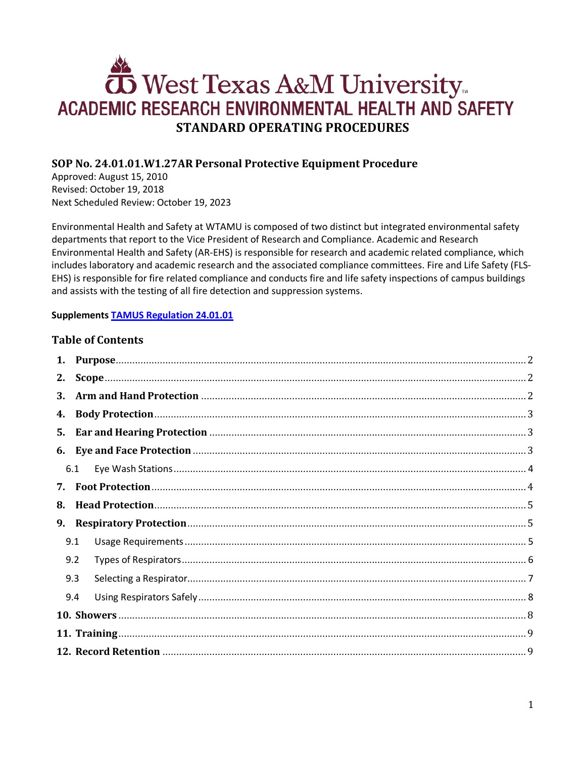# West Texas A&M University ACADEMIC RESEARCH ENVIRONMENTAL HEALTH AND SAFETY **STANDARD OPERATING PROCEDURES**

# **SOP No. 24.01.01.W1.27AR Personal Protective Equipment Procedure**

Approved: August 15, 2010 Revised: October 19, 2018 Next Scheduled Review: October 19, 2023

Environmental Health and Safety at WTAMU is composed of two distinct but integrated environmental safety departments that report to the Vice President of Research and Compliance. Academic and Research Environmental Health and Safety (AR-EHS) is responsible for research and academic related compliance, which includes laboratory and academic research and the associated compliance committees. Fire and Life Safety (FLS-EHS) is responsible for fire related compliance and conducts fire and life safety inspections of campus buildings and assists with the testing of all fire detection and suppression systems.

#### **Supplements [TAMUS Regulation 24.01.01](http://policies.tamus.edu/24-01-01.pdf)**

## **Table of Contents**

| 1. |     |  |  |  |  |
|----|-----|--|--|--|--|
| 2. |     |  |  |  |  |
| 3. |     |  |  |  |  |
| 4. |     |  |  |  |  |
| 5. |     |  |  |  |  |
|    |     |  |  |  |  |
|    | 6.1 |  |  |  |  |
| 7. |     |  |  |  |  |
| 8. |     |  |  |  |  |
| 9. |     |  |  |  |  |
|    | 9.1 |  |  |  |  |
|    | 9.2 |  |  |  |  |
|    | 9.3 |  |  |  |  |
|    | 9.4 |  |  |  |  |
|    |     |  |  |  |  |
|    |     |  |  |  |  |
|    |     |  |  |  |  |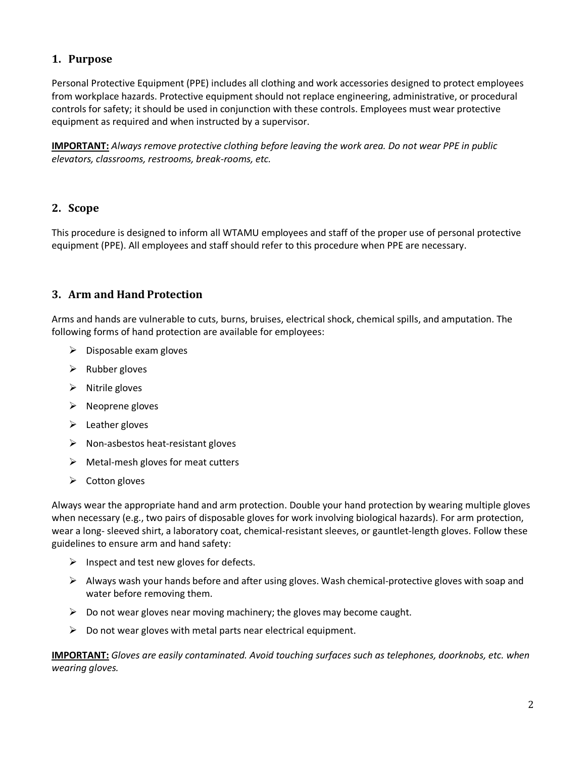# <span id="page-1-0"></span>**1. Purpose**

Personal Protective Equipment (PPE) includes all clothing and work accessories designed to protect employees from workplace hazards. Protective equipment should not replace engineering, administrative, or procedural controls for safety; it should be used in conjunction with these controls. Employees must wear protective equipment as required and when instructed by a supervisor.

**IMPORTANT:** *Always remove protective clothing before leaving the work area. Do not wear PPE in public elevators, classrooms, restrooms, break-rooms, etc.*

#### <span id="page-1-1"></span>**2. Scope**

This procedure is designed to inform all WTAMU employees and staff of the proper use of personal protective equipment (PPE). All employees and staff should refer to this procedure when PPE are necessary.

## <span id="page-1-2"></span>**3. Arm and Hand Protection**

Arms and hands are vulnerable to cuts, burns, bruises, electrical shock, chemical spills, and amputation. The following forms of hand protection are available for employees:

- $\triangleright$  Disposable exam gloves
- $\triangleright$  Rubber gloves
- $\triangleright$  Nitrile gloves
- $\triangleright$  Neoprene gloves
- $\triangleright$  Leather gloves
- $\triangleright$  Non-asbestos heat-resistant gloves
- $\triangleright$  Metal-mesh gloves for meat cutters
- $\triangleright$  Cotton gloves

Always wear the appropriate hand and arm protection. Double your hand protection by wearing multiple gloves when necessary (e.g., two pairs of disposable gloves for work involving biological hazards). For arm protection, wear a long- sleeved shirt, a laboratory coat, chemical-resistant sleeves, or gauntlet-length gloves. Follow these guidelines to ensure arm and hand safety:

- $\triangleright$  Inspect and test new gloves for defects.
- $\triangleright$  Always wash your hands before and after using gloves. Wash chemical-protective gloves with soap and water before removing them.
- $\triangleright$  Do not wear gloves near moving machinery; the gloves may become caught.
- $\triangleright$  Do not wear gloves with metal parts near electrical equipment.

**IMPORTANT:** *Gloves are easily contaminated. Avoid touching surfaces such as telephones, doorknobs, etc. when wearing gloves.*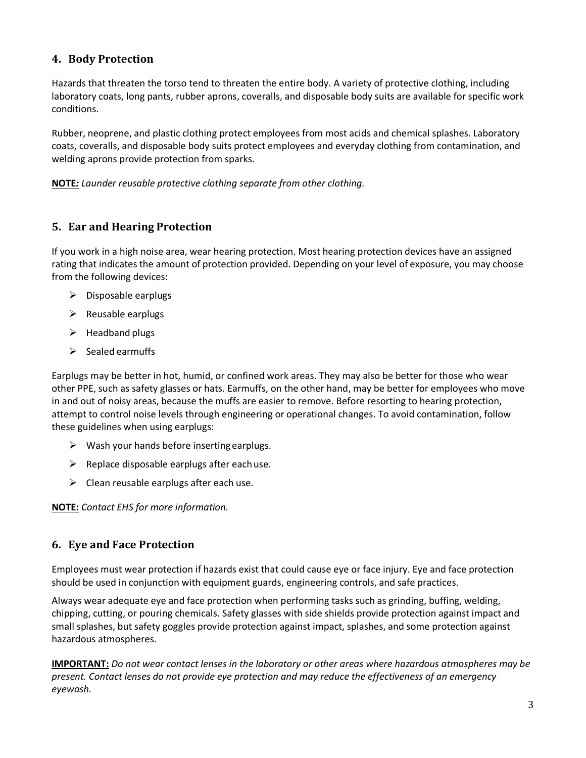# <span id="page-2-0"></span>**4. Body Protection**

Hazards that threaten the torso tend to threaten the entire body. A variety of protective clothing, including laboratory coats, long pants, rubber aprons, coveralls, and disposable body suits are available for specific work conditions.

Rubber, neoprene, and plastic clothing protect employees from most acids and chemical splashes. Laboratory coats, coveralls, and disposable body suits protect employees and everyday clothing from contamination, and welding aprons provide protection from sparks.

**NOTE***: Launder reusable protective clothing separate from other clothing.*

## <span id="page-2-1"></span>**5. Ear and Hearing Protection**

If you work in a high noise area, wear hearing protection. Most hearing protection devices have an assigned rating that indicates the amount of protection provided. Depending on your level of exposure, you may choose from the following devices:

- $\triangleright$  Disposable earplugs
- $\triangleright$  Reusable earplugs
- $\triangleright$  Headband plugs
- $\triangleright$  Sealed earmuffs

Earplugs may be better in hot, humid, or confined work areas. They may also be better for those who wear other PPE, such as safety glasses or hats. Earmuffs, on the other hand, may be better for employees who move in and out of noisy areas, because the muffs are easier to remove. Before resorting to hearing protection, attempt to control noise levels through engineering or operational changes. To avoid contamination, follow these guidelines when using earplugs:

- $\triangleright$  Wash your hands before inserting earplugs.
- $\triangleright$  Replace disposable earplugs after each use.
- $\triangleright$  Clean reusable earplugs after each use.

**NOTE:** *Contact EHS for more information.*

## <span id="page-2-2"></span>**6. Eye and Face Protection**

Employees must wear protection if hazards exist that could cause eye or face injury. Eye and face protection should be used in conjunction with equipment guards, engineering controls, and safe practices.

Always wear adequate eye and face protection when performing tasks such as grinding, buffing, welding, chipping, cutting, or pouring chemicals. Safety glasses with side shields provide protection against impact and small splashes, but safety goggles provide protection against impact, splashes, and some protection against hazardous atmospheres.

**IMPORTANT:** *Do not wear contact lenses in the laboratory or other areas where hazardous atmospheres may be present. Contact lenses do not provide eye protection and may reduce the effectiveness of an emergency eyewash.*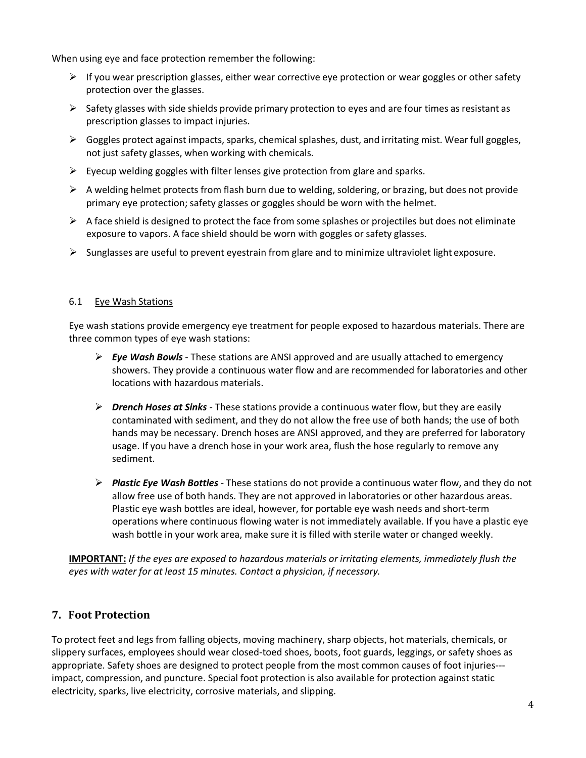When using eye and face protection remember the following:

- $\triangleright$  If you wear prescription glasses, either wear corrective eye protection or wear goggles or other safety protection over the glasses.
- $\triangleright$  Safety glasses with side shields provide primary protection to eyes and are four times as resistant as prescription glasses to impact injuries.
- $\triangleright$  Goggles protect against impacts, sparks, chemical splashes, dust, and irritating mist. Wear full goggles, not just safety glasses, when working with chemicals.
- $\triangleright$  Eyecup welding goggles with filter lenses give protection from glare and sparks.
- $\triangleright$  A welding helmet protects from flash burn due to welding, soldering, or brazing, but does not provide primary eye protection; safety glasses or goggles should be worn with the helmet.
- $\triangleright$  A face shield is designed to protect the face from some splashes or projectiles but does not eliminate exposure to vapors. A face shield should be worn with goggles or safety glasses.
- $\triangleright$  Sunglasses are useful to prevent eyestrain from glare and to minimize ultraviolet light exposure.

#### <span id="page-3-0"></span>6.1 Eye Wash Stations

Eye wash stations provide emergency eye treatment for people exposed to hazardous materials. There are three common types of eye wash stations:

- *Eye Wash Bowls*  These stations are ANSI approved and are usually attached to emergency showers. They provide a continuous water flow and are recommended for laboratories and other locations with hazardous materials.
- *Drench Hoses at Sinks*  These stations provide a continuous water flow, but they are easily contaminated with sediment, and they do not allow the free use of both hands; the use of both hands may be necessary. Drench hoses are ANSI approved, and they are preferred for laboratory usage. If you have a drench hose in your work area, flush the hose regularly to remove any sediment.
- *Plastic Eye Wash Bottles*  These stations do not provide a continuous water flow, and they do not allow free use of both hands. They are not approved in laboratories or other hazardous areas. Plastic eye wash bottles are ideal, however, for portable eye wash needs and short-term operations where continuous flowing water is not immediately available. If you have a plastic eye wash bottle in your work area, make sure it is filled with sterile water or changed weekly.

**IMPORTANT:** *If the eyes are exposed to hazardous materials or irritating elements, immediately flush the eyes with water for at least 15 minutes. Contact a physician, if necessary.*

## <span id="page-3-1"></span>**7. Foot Protection**

To protect feet and legs from falling objects, moving machinery, sharp objects, hot materials, chemicals, or slippery surfaces, employees should wear closed-toed shoes, boots, foot guards, leggings, or safety shoes as appropriate. Safety shoes are designed to protect people from the most common causes of foot injuries-- impact, compression, and puncture. Special foot protection is also available for protection against static electricity, sparks, live electricity, corrosive materials, and slipping.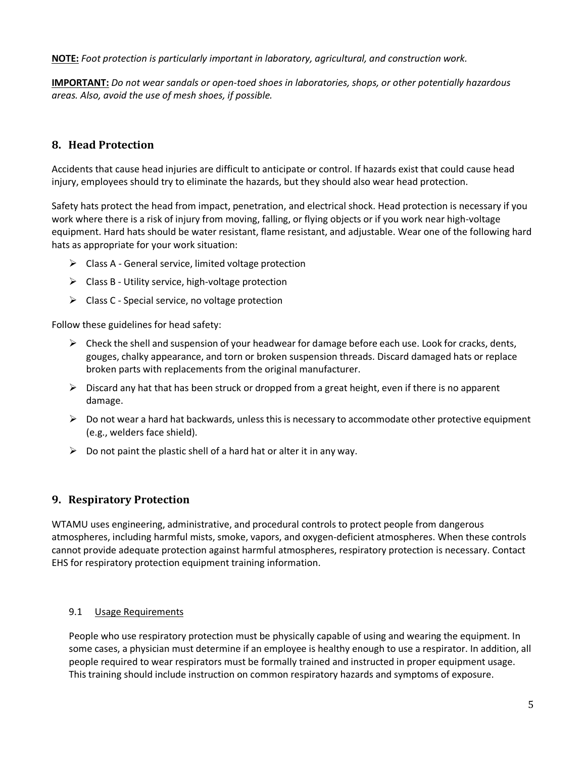**NOTE:** *Foot protection is particularly important in laboratory, agricultural, and construction work.*

**IMPORTANT:** *Do not wear sandals or open-toed shoes in laboratories, shops, or other potentially hazardous areas. Also, avoid the use of mesh shoes, if possible.*

# <span id="page-4-0"></span>**8. Head Protection**

Accidents that cause head injuries are difficult to anticipate or control. If hazards exist that could cause head injury, employees should try to eliminate the hazards, but they should also wear head protection.

Safety hats protect the head from impact, penetration, and electrical shock. Head protection is necessary if you work where there is a risk of injury from moving, falling, or flying objects or if you work near high-voltage equipment. Hard hats should be water resistant, flame resistant, and adjustable. Wear one of the following hard hats as appropriate for your work situation:

- $\triangleright$  Class A General service, limited voltage protection
- $\triangleright$  Class B Utility service, high-voltage protection
- $\triangleright$  Class C Special service, no voltage protection

Follow these guidelines for head safety:

- $\triangleright$  Check the shell and suspension of your headwear for damage before each use. Look for cracks, dents, gouges, chalky appearance, and torn or broken suspension threads. Discard damaged hats or replace broken parts with replacements from the original manufacturer.
- $\triangleright$  Discard any hat that has been struck or dropped from a great height, even if there is no apparent damage.
- $\triangleright$  Do not wear a hard hat backwards, unless this is necessary to accommodate other protective equipment (e.g., welders face shield).
- $\triangleright$  Do not paint the plastic shell of a hard hat or alter it in any way.

#### <span id="page-4-1"></span>**9. Respiratory Protection**

WTAMU uses engineering, administrative, and procedural controls to protect people from dangerous atmospheres, including harmful mists, smoke, vapors, and oxygen-deficient atmospheres. When these controls cannot provide adequate protection against harmful atmospheres, respiratory protection is necessary. Contact EHS for respiratory protection equipment training information.

#### <span id="page-4-2"></span>9.1 Usage Requirements

People who use respiratory protection must be physically capable of using and wearing the equipment. In some cases, a physician must determine if an employee is healthy enough to use a respirator. In addition, all people required to wear respirators must be formally trained and instructed in proper equipment usage. This training should include instruction on common respiratory hazards and symptoms of exposure.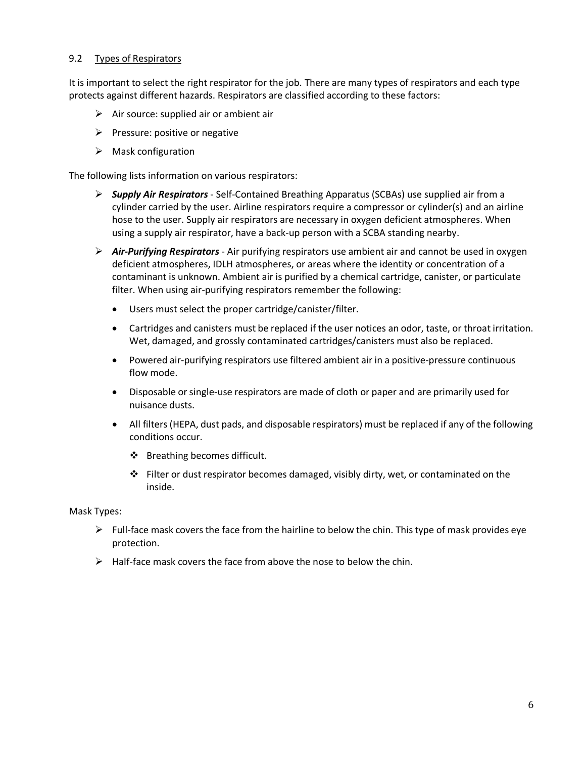#### <span id="page-5-0"></span>9.2 Types of Respirators

It is important to select the right respirator for the job. There are many types of respirators and each type protects against different hazards. Respirators are classified according to these factors:

- $\triangleright$  Air source: supplied air or ambient air
- $\triangleright$  Pressure: positive or negative
- $\triangleright$  Mask configuration

The following lists information on various respirators:

- *Supply Air Respirators*  Self-Contained Breathing Apparatus (SCBAs) use supplied air from a cylinder carried by the user. Airline respirators require a compressor or cylinder(s) and an airline hose to the user. Supply air respirators are necessary in oxygen deficient atmospheres. When using a supply air respirator, have a back-up person with a SCBA standing nearby.
- *Air-Purifying Respirators*  Air purifying respirators use ambient air and cannot be used in oxygen deficient atmospheres, IDLH atmospheres, or areas where the identity or concentration of a contaminant is unknown. Ambient air is purified by a chemical cartridge, canister, or particulate filter. When using air-purifying respirators remember the following:
	- Users must select the proper cartridge/canister/filter.
	- Cartridges and canisters must be replaced if the user notices an odor, taste, or throat irritation. Wet, damaged, and grossly contaminated cartridges/canisters must also be replaced.
	- Powered air-purifying respirators use filtered ambient air in a positive-pressure continuous flow mode.
	- Disposable orsingle-use respirators are made of cloth or paper and are primarily used for nuisance dusts.
	- All filters (HEPA, dust pads, and disposable respirators) must be replaced if any of the following conditions occur.
		- ❖ Breathing becomes difficult.
		- $\div$  Filter or dust respirator becomes damaged, visibly dirty, wet, or contaminated on the inside.

Mask Types:

- $\triangleright$  Full-face mask covers the face from the hairline to below the chin. This type of mask provides eye protection.
- $\triangleright$  Half-face mask covers the face from above the nose to below the chin.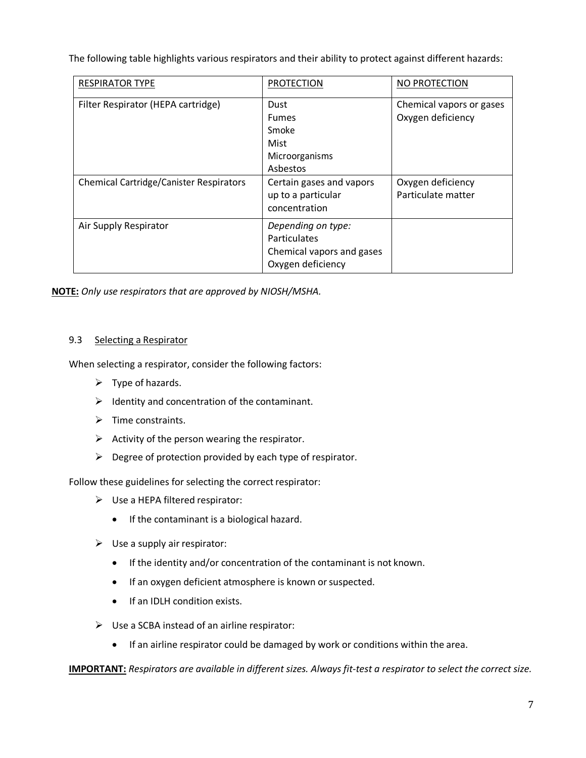The following table highlights various respirators and their ability to protect against different hazards:

| <b>RESPIRATOR TYPE</b>                         | <b>PROTECTION</b>                                                                    | NO PROTECTION                                 |
|------------------------------------------------|--------------------------------------------------------------------------------------|-----------------------------------------------|
| Filter Respirator (HEPA cartridge)             | Dust<br><b>Fumes</b><br>Smoke<br>Mist                                                | Chemical vapors or gases<br>Oxygen deficiency |
|                                                | Microorganisms<br>Asbestos                                                           |                                               |
| <b>Chemical Cartridge/Canister Respirators</b> | Certain gases and vapors<br>up to a particular<br>concentration                      | Oxygen deficiency<br>Particulate matter       |
| Air Supply Respirator                          | Depending on type:<br>Particulates<br>Chemical vapors and gases<br>Oxygen deficiency |                                               |

**NOTE:** *Only use respirators that are approved by NIOSH/MSHA.*

#### <span id="page-6-0"></span>9.3 Selecting a Respirator

When selecting a respirator, consider the following factors:

- $\triangleright$  Type of hazards.
- $\triangleright$  Identity and concentration of the contaminant.
- $\triangleright$  Time constraints.
- $\triangleright$  Activity of the person wearing the respirator.
- $\triangleright$  Degree of protection provided by each type of respirator.

Follow these guidelines for selecting the correct respirator:

- $\triangleright$  Use a HEPA filtered respirator:
	- If the contaminant is a biological hazard.
- $\triangleright$  Use a supply air respirator:
	- If the identity and/or concentration of the contaminant is not known.
	- If an oxygen deficient atmosphere is known or suspected.
	- If an IDLH condition exists.
- $\triangleright$  Use a SCBA instead of an airline respirator:
	- If an airline respirator could be damaged by work or conditions within the area.

**IMPORTANT:** *Respirators are available in different sizes. Always fit-test a respirator to select the correct size.*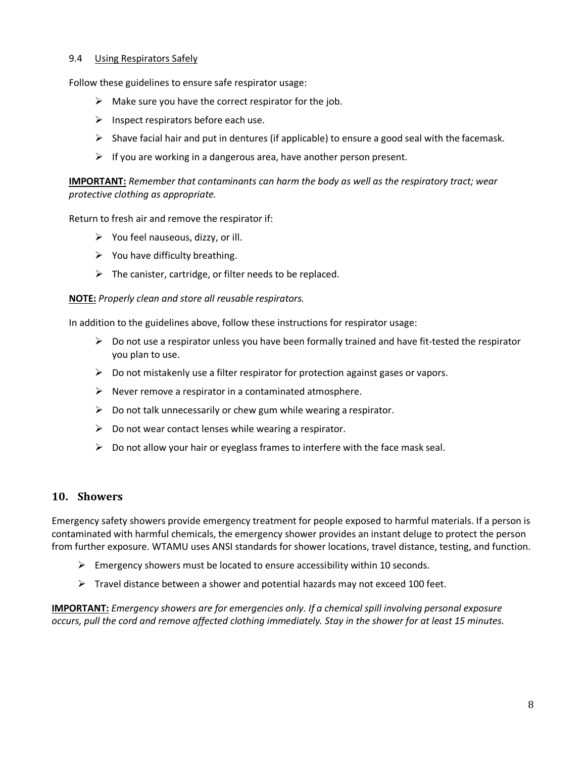#### <span id="page-7-0"></span>9.4 Using Respirators Safely

Follow these guidelines to ensure safe respirator usage:

- $\triangleright$  Make sure you have the correct respirator for the job.
- $\triangleright$  Inspect respirators before each use.
- $\triangleright$  Shave facial hair and put in dentures (if applicable) to ensure a good seal with the facemask.
- $\triangleright$  If you are working in a dangerous area, have another person present.

#### **IMPORTANT:** *Remember that contaminants can harm the body as well as the respiratory tract; wear protective clothing as appropriate.*

Return to fresh air and remove the respirator if:

- $\triangleright$  You feel nauseous, dizzy, or ill.
- $\triangleright$  You have difficulty breathing.
- $\triangleright$  The canister, cartridge, or filter needs to be replaced.

#### **NOTE:** *Properly clean and store all reusable respirators.*

In addition to the guidelines above, follow these instructions for respirator usage:

- $\triangleright$  Do not use a respirator unless you have been formally trained and have fit-tested the respirator you plan to use.
- $\triangleright$  Do not mistakenly use a filter respirator for protection against gases or vapors.
- $\triangleright$  Never remove a respirator in a contaminated atmosphere.
- $\triangleright$  Do not talk unnecessarily or chew gum while wearing a respirator.
- $\triangleright$  Do not wear contact lenses while wearing a respirator.
- $\triangleright$  Do not allow your hair or eyeglass frames to interfere with the face mask seal.

#### <span id="page-7-1"></span>**10. Showers**

Emergency safety showers provide emergency treatment for people exposed to harmful materials. If a person is contaminated with harmful chemicals, the emergency shower provides an instant deluge to protect the person from further exposure. WTAMU uses ANSI standards for shower locations, travel distance, testing, and function.

- $\triangleright$  Emergency showers must be located to ensure accessibility within 10 seconds.
- $\triangleright$  Travel distance between a shower and potential hazards may not exceed 100 feet.

**IMPORTANT:** *Emergency showers are for emergencies only. If a chemical spill involving personal exposure occurs, pull the cord and remove affected clothing immediately. Stay in the shower for at least 15 minutes.*